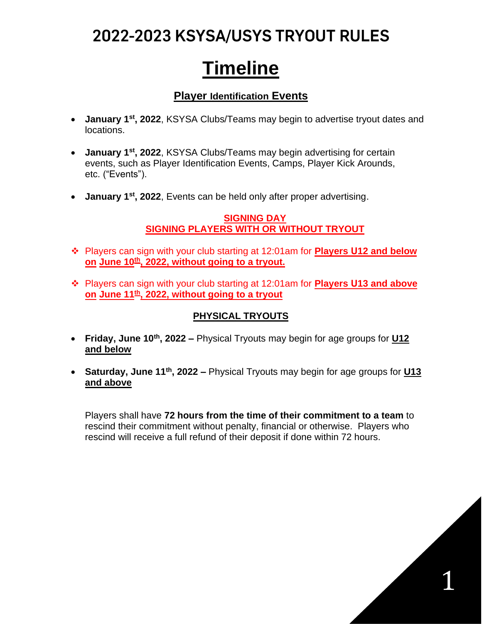### 2022-2023 KSYSA/USYS TRYOUT RULES

# **Timeline**

### **Player Identification Events**

- **January 1st, 2022**, KSYSA Clubs/Teams may begin to advertise tryout dates and locations.
- **January 1st, 2022**, KSYSA Clubs/Teams may begin advertising for certain events, such as Player Identification Events, Camps, Player Kick Arounds, etc. ("Events").
- **January 1st, 2022**, Events can be held only after proper advertising.

### **SIGNING DAY SIGNING PLAYERS WITH OR WITHOUT TRYOUT**

- ❖ Players can sign with your club starting at 12:01am for **Players U12 and below on June 10th , 2022, without going to a tryout.**
- ❖ Players can sign with your club starting at 12:01am for **Players U13 and above on June 11th , 2022, without going to a tryout**

### **PHYSICAL TRYOUTS**

- **Friday, June 10th, 2022 –** Physical Tryouts may begin for age groups for **U12 and below**
- **Saturday, June 11th, 2022 –** Physical Tryouts may begin for age groups for **U13 and above**

Players shall have **72 hours from the time of their commitment to a team** to rescind their commitment without penalty, financial or otherwise. Players who rescind will receive a full refund of their deposit if done within 72 hours.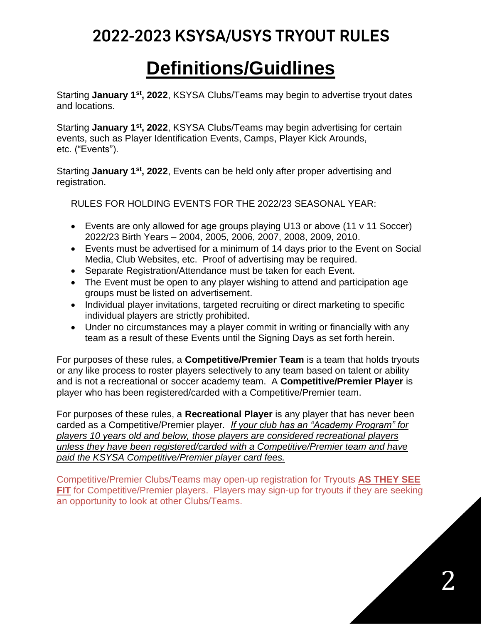## 2022-2023 KSYSA/USYS TRYOUT RULES

## **Definitions/Guidlines**

Starting **January 1st, 2022**, KSYSA Clubs/Teams may begin to advertise tryout dates and locations.

Starting **January 1st, 2022**, KSYSA Clubs/Teams may begin advertising for certain events, such as Player Identification Events, Camps, Player Kick Arounds, etc. ("Events").

Starting **January 1st, 2022**, Events can be held only after proper advertising and registration.

RULES FOR HOLDING EVENTS FOR THE 2022/23 SEASONAL YEAR:

- Events are only allowed for age groups playing U13 or above (11 v 11 Soccer) 2022/23 Birth Years – 2004, 2005, 2006, 2007, 2008, 2009, 2010.
- Events must be advertised for a minimum of 14 days prior to the Event on Social Media, Club Websites, etc. Proof of advertising may be required.
- Separate Registration/Attendance must be taken for each Event.
- The Event must be open to any player wishing to attend and participation age groups must be listed on advertisement.
- Individual player invitations, targeted recruiting or direct marketing to specific individual players are strictly prohibited.
- Under no circumstances may a player commit in writing or financially with any team as a result of these Events until the Signing Days as set forth herein.

For purposes of these rules, a **Competitive/Premier Team** is a team that holds tryouts or any like process to roster players selectively to any team based on talent or ability and is not a recreational or soccer academy team. A **Competitive/Premier Player** is player who has been registered/carded with a Competitive/Premier team.

For purposes of these rules, a **Recreational Player** is any player that has never been carded as a Competitive/Premier player*. If your club has an "Academy Program" for players 10 years old and below, those players are considered recreational players unless they have been registered/carded with a Competitive/Premier team and have paid the KSYSA Competitive/Premier player card fees.*

Competitive/Premier Clubs/Teams may open-up registration for Tryouts **AS THEY SEE FIT** for Competitive/Premier players. Players may sign-up for tryouts if they are seeking an opportunity to look at other Clubs/Teams.